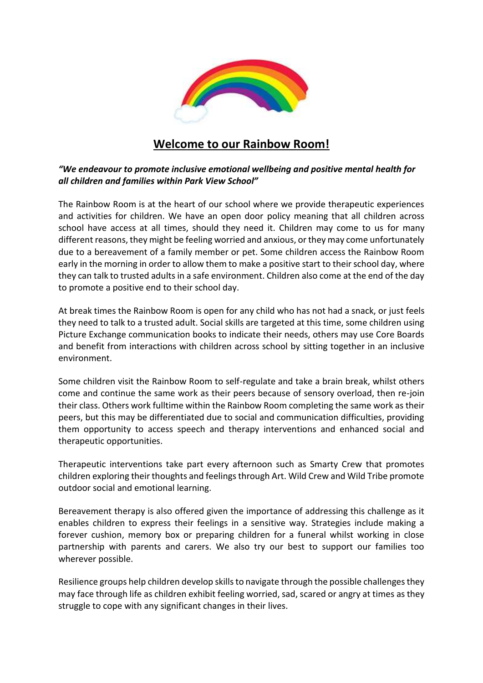

## **Welcome to our Rainbow Room!**

## *"We endeavour to promote inclusive emotional wellbeing and positive mental health for all children and families within Park View School"*

The Rainbow Room is at the heart of our school where we provide therapeutic experiences and activities for children. We have an open door policy meaning that all children across school have access at all times, should they need it. Children may come to us for many different reasons, they might be feeling worried and anxious, or they may come unfortunately due to a bereavement of a family member or pet. Some children access the Rainbow Room early in the morning in order to allow them to make a positive start to their school day, where they can talk to trusted adults in a safe environment. Children also come at the end of the day to promote a positive end to their school day.

At break times the Rainbow Room is open for any child who has not had a snack, or just feels they need to talk to a trusted adult. Social skills are targeted at this time, some children using Picture Exchange communication books to indicate their needs, others may use Core Boards and benefit from interactions with children across school by sitting together in an inclusive environment.

Some children visit the Rainbow Room to self-regulate and take a brain break, whilst others come and continue the same work as their peers because of sensory overload, then re-join their class. Others work fulltime within the Rainbow Room completing the same work as their peers, but this may be differentiated due to social and communication difficulties, providing them opportunity to access speech and therapy interventions and enhanced social and therapeutic opportunities.

Therapeutic interventions take part every afternoon such as Smarty Crew that promotes children exploring their thoughts and feelings through Art. Wild Crew and Wild Tribe promote outdoor social and emotional learning.

Bereavement therapy is also offered given the importance of addressing this challenge as it enables children to express their feelings in a sensitive way. Strategies include making a forever cushion, memory box or preparing children for a funeral whilst working in close partnership with parents and carers. We also try our best to support our families too wherever possible.

Resilience groups help children develop skills to navigate through the possible challenges they may face through life as children exhibit feeling worried, sad, scared or angry at times as they struggle to cope with any significant changes in their lives.